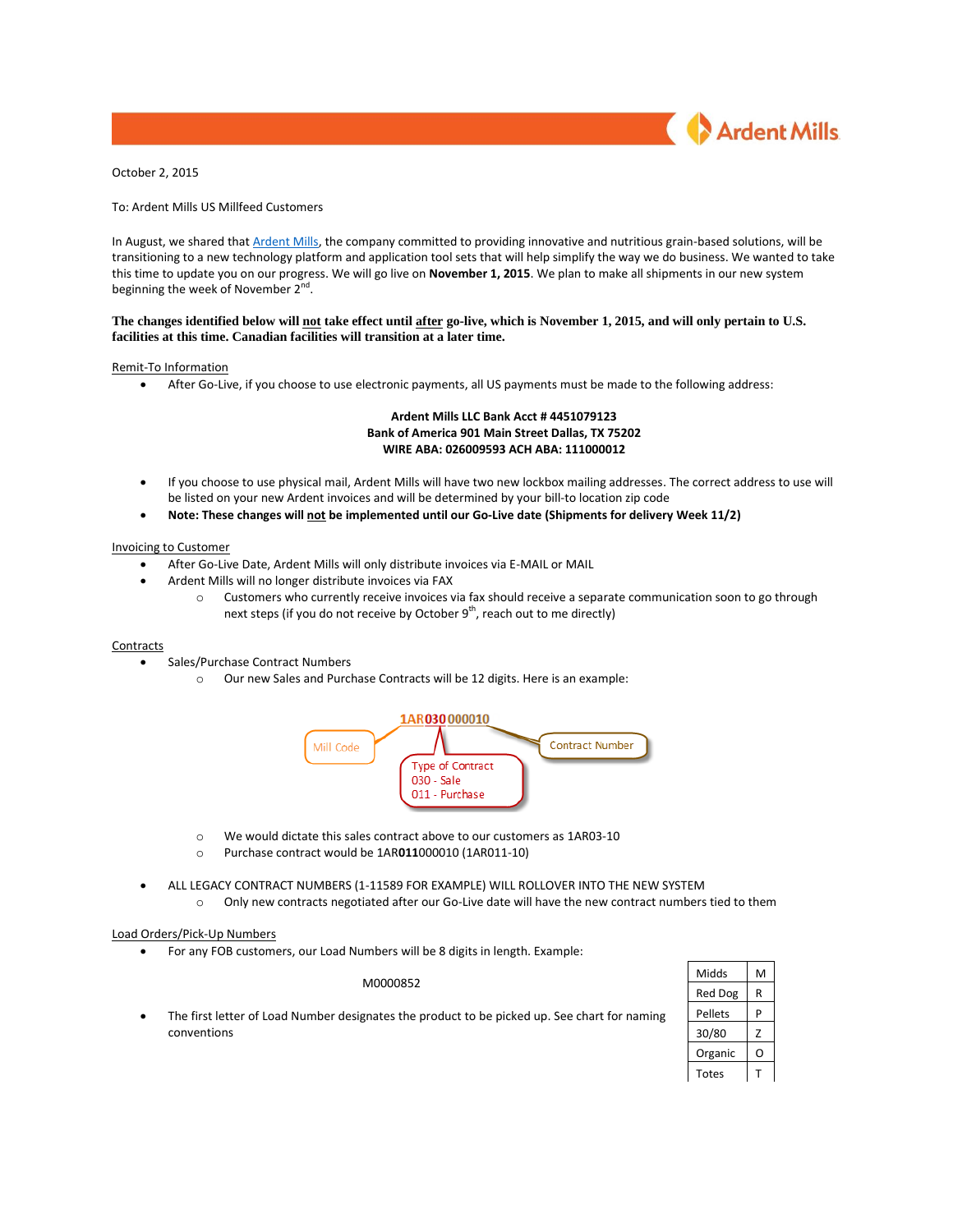

October 2, 2015

To: Ardent Mills US Millfeed Customers

In August, we shared tha[t Ardent Mills,](http://ardentmills.com/) the company committed to providing innovative and nutritious grain-based solutions, will be transitioning to a new technology platform and application tool sets that will help simplify the way we do business. We wanted to take this time to update you on our progress. We will go live on **November 1, 2015**. We plan to make all shipments in our new system beginning the week of November 2<sup>nd</sup>.

## **The changes identified below will not take effect until after go-live, which is November 1, 2015, and will only pertain to U.S. facilities at this time. Canadian facilities will transition at a later time.**

## Remit-To Information

After Go-Live, if you choose to use electronic payments, all US payments must be made to the following address:

## **Ardent Mills LLC Bank Acct # 4451079123 Bank of America 901 Main Street Dallas, TX 75202 WIRE ABA: 026009593 ACH ABA: 111000012**

- If you choose to use physical mail, Ardent Mills will have two new lockbox mailing addresses. The correct address to use will be listed on your new Ardent invoices and will be determined by your bill-to location zip code
- **Note: These changes will not be implemented until our Go-Live date (Shipments for delivery Week 11/2)**

### Invoicing to Customer

- After Go-Live Date, Ardent Mills will only distribute invoices via E-MAIL or MAIL
- Ardent Mills will no longer distribute invoices via FAX
	- o Customers who currently receive invoices via fax should receive a separate communication soon to go through next steps (if you do not receive by October  $9<sup>th</sup>$ , reach out to me directly)

### **Contracts**

- Sales/Purchase Contract Numbers
	- o Our new Sales and Purchase Contracts will be 12 digits. Here is an example:



- o We would dictate this sales contract above to our customers as 1AR03-10
- o Purchase contract would be 1AR**011**000010 (1AR011-10)
- ALL LEGACY CONTRACT NUMBERS (1-11589 FOR EXAMPLE) WILL ROLLOVER INTO THE NEW SYSTEM
	- o Only new contracts negotiated after our Go-Live date will have the new contract numbers tied to them

#### Load Orders/Pick-Up Numbers

For any FOB customers, our Load Numbers will be 8 digits in length. Example:

#### M0000852

 The first letter of Load Number designates the product to be picked up. See chart for naming conventions

| Midds   | М |
|---------|---|
| Red Dog | R |
| Pellets | P |
| 30/80   | 7 |
| Organic |   |
| Totes   |   |